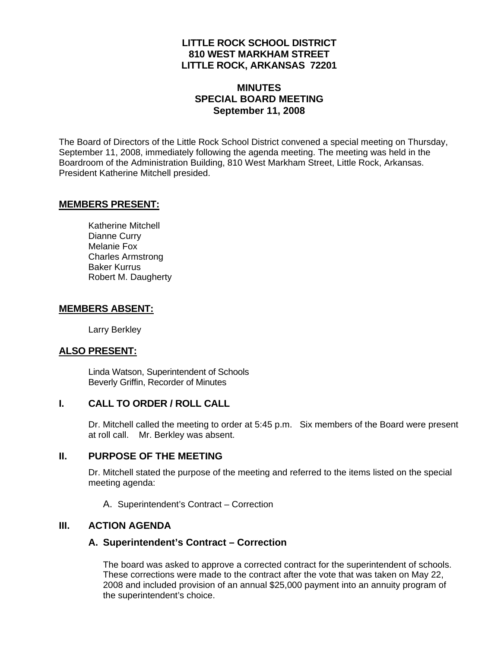## **LITTLE ROCK SCHOOL DISTRICT 810 WEST MARKHAM STREET LITTLE ROCK, ARKANSAS 72201**

# **MINUTES SPECIAL BOARD MEETING September 11, 2008**

The Board of Directors of the Little Rock School District convened a special meeting on Thursday, September 11, 2008, immediately following the agenda meeting. The meeting was held in the Boardroom of the Administration Building, 810 West Markham Street, Little Rock, Arkansas. President Katherine Mitchell presided.

#### **MEMBERS PRESENT:**

Katherine Mitchell Dianne Curry Melanie Fox Charles Armstrong Baker Kurrus Robert M. Daugherty

### **MEMBERS ABSENT:**

Larry Berkley

# **ALSO PRESENT:**

 Linda Watson, Superintendent of Schools Beverly Griffin, Recorder of Minutes

#### **I. CALL TO ORDER / ROLL CALL**

Dr. Mitchell called the meeting to order at 5:45 p.m. Six members of the Board were present at roll call. Mr. Berkley was absent.

#### **II. PURPOSE OF THE MEETING**

Dr. Mitchell stated the purpose of the meeting and referred to the items listed on the special meeting agenda:

A. Superintendent's Contract – Correction

#### **III. ACTION AGENDA**

#### **A. Superintendent's Contract – Correction**

The board was asked to approve a corrected contract for the superintendent of schools. These corrections were made to the contract after the vote that was taken on May 22, 2008 and included provision of an annual \$25,000 payment into an annuity program of the superintendent's choice.